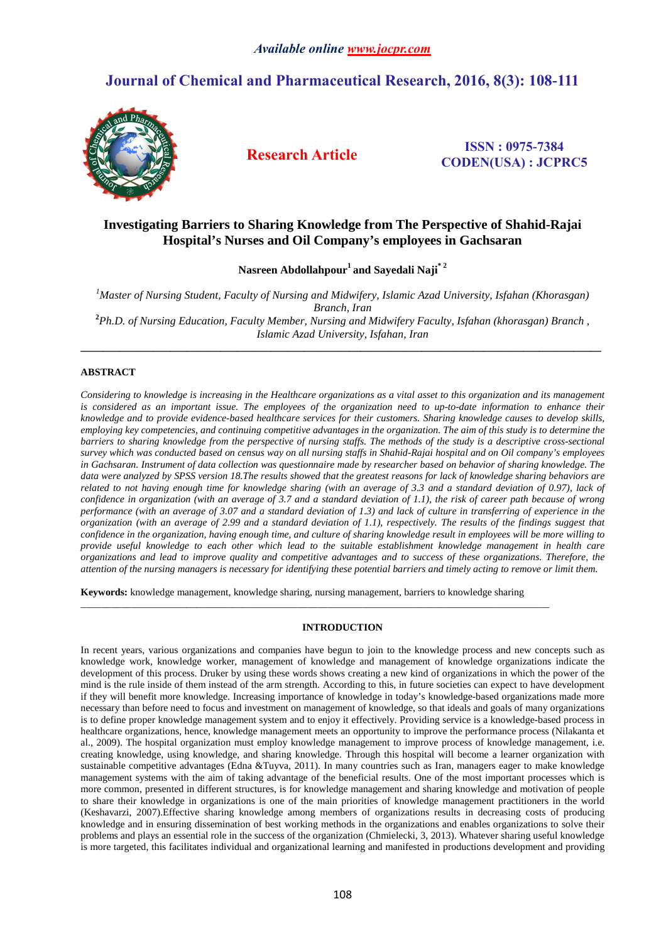# **Journal of Chemical and Pharmaceutical Research, 2016, 8(3): 108-111**



**Research Article ISSN : 0975-<sup>7384</sup> CODEN(USA) : JCPRC5**

## **Investigating Barriers to Sharing Knowledge from The Perspective of Shahid-Rajai Hospital's Nurses and Oil Company's employees in Gachsaran**

**Nasreen Abdollahpour<sup>1</sup>and Sayedali Naji\* 2** 

*<sup>1</sup>Master of Nursing Student, Faculty of Nursing and Midwifery, Islamic Azad University, Isfahan (Khorasgan) Branch, Iran* **<sup>2</sup>***Ph.D. of Nursing Education, Faculty Member, Nursing and Midwifery Faculty, Isfahan (khorasgan) Branch , Islamic Azad University, Isfahan, Iran* 

**\_\_\_\_\_\_\_\_\_\_\_\_\_\_\_\_\_\_\_\_\_\_\_\_\_\_\_\_\_\_\_\_\_\_\_\_\_\_\_\_\_\_\_\_\_\_\_\_\_\_\_\_\_\_\_\_\_\_\_\_\_\_\_\_\_\_\_\_\_\_\_\_\_\_\_\_\_\_\_\_\_\_\_\_\_\_\_\_\_\_\_\_\_** 

## **ABSTRACT**

*Considering to knowledge is increasing in the Healthcare organizations as a vital asset to this organization and its management is considered as an important issue. The employees of the organization need to up-to-date information to enhance their knowledge and to provide evidence-based healthcare services for their customers. Sharing knowledge causes to develop skills, employing key competencies, and continuing competitive advantages in the organization. The aim of this study is to determine the barriers to sharing knowledge from the perspective of nursing staffs. The methods of the study is a descriptive cross-sectional survey which was conducted based on census way on all nursing staffs in Shahid-Rajai hospital and on Oil company's employees in Gachsaran. Instrument of data collection was questionnaire made by researcher based on behavior of sharing knowledge. The data were analyzed by SPSS version 18.The results showed that the greatest reasons for lack of knowledge sharing behaviors are related to not having enough time for knowledge sharing (with an average of 3.3 and a standard deviation of 0.97), lack of confidence in organization (with an average of 3.7 and a standard deviation of 1.1), the risk of career path because of wrong performance (with an average of 3.07 and a standard deviation of 1.3) and lack of culture in transferring of experience in the organization (with an average of 2.99 and a standard deviation of 1.1), respectively. The results of the findings suggest that confidence in the organization, having enough time, and culture of sharing knowledge result in employees will be more willing to provide useful knowledge to each other which lead to the suitable establishment knowledge management in health care organizations and lead to improve quality and competitive advantages and to success of these organizations. Therefore, the attention of the nursing managers is necessary for identifying these potential barriers and timely acting to remove or limit them.* 

**Keywords:** knowledge management, knowledge sharing, nursing management, barriers to knowledge sharing

 $\bot$  , and the contribution of the contribution of the contribution of the contribution of the contribution of  $\bot$ 

## **INTRODUCTION**

In recent years, various organizations and companies have begun to join to the knowledge process and new concepts such as knowledge work, knowledge worker, management of knowledge and management of knowledge organizations indicate the development of this process. Druker by using these words shows creating a new kind of organizations in which the power of the mind is the rule inside of them instead of the arm strength. According to this, in future societies can expect to have development if they will benefit more knowledge. Increasing importance of knowledge in today's knowledge-based organizations made more necessary than before need to focus and investment on management of knowledge, so that ideals and goals of many organizations is to define proper knowledge management system and to enjoy it effectively. Providing service is a knowledge-based process in healthcare organizations, hence, knowledge management meets an opportunity to improve the performance process (Nilakanta et al., 2009). The hospital organization must employ knowledge management to improve process of knowledge management, i.e. creating knowledge, using knowledge, and sharing knowledge. Through this hospital will become a learner organization with sustainable competitive advantages (Edna &Tuyva, 2011). In many countries such as Iran, managers eager to make knowledge management systems with the aim of taking advantage of the beneficial results. One of the most important processes which is more common, presented in different structures, is for knowledge management and sharing knowledge and motivation of people to share their knowledge in organizations is one of the main priorities of knowledge management practitioners in the world (Keshavarzi, 2007).Effective sharing knowledge among members of organizations results in decreasing costs of producing knowledge and in ensuring dissemination of best working methods in the organizations and enables organizations to solve their problems and plays an essential role in the success of the organization (Chmielecki, 3, 2013). Whatever sharing useful knowledge is more targeted, this facilitates individual and organizational learning and manifested in productions development and providing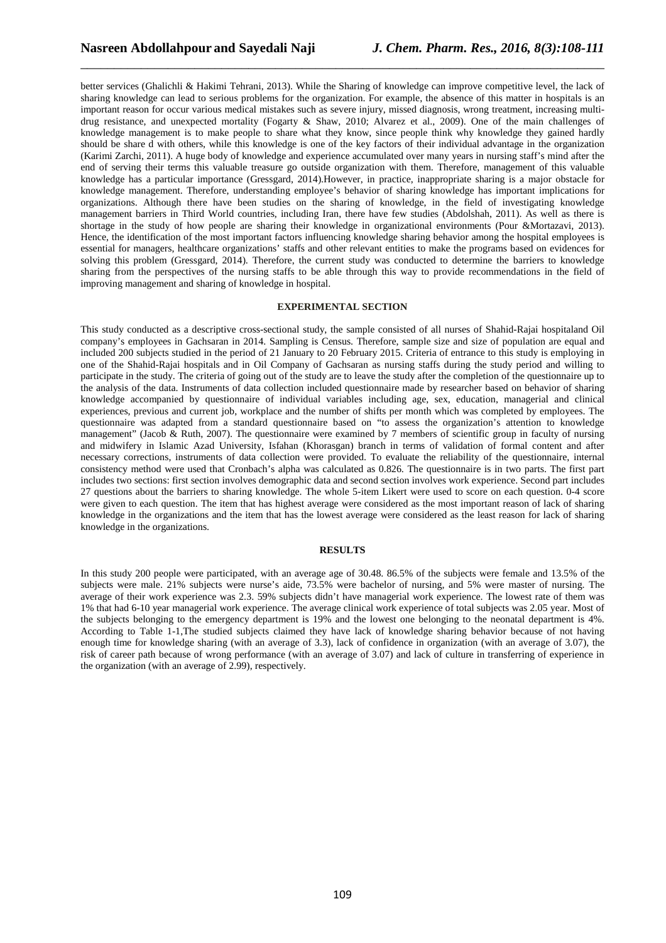better services (Ghalichli & Hakimi Tehrani, 2013). While the Sharing of knowledge can improve competitive level, the lack of sharing knowledge can lead to serious problems for the organization. For example, the absence of this matter in hospitals is an important reason for occur various medical mistakes such as severe injury, missed diagnosis, wrong treatment, increasing multidrug resistance, and unexpected mortality (Fogarty & Shaw, 2010; Alvarez et al., 2009). One of the main challenges of knowledge management is to make people to share what they know, since people think why knowledge they gained hardly should be share d with others, while this knowledge is one of the key factors of their individual advantage in the organization (Karimi Zarchi, 2011). A huge body of knowledge and experience accumulated over many years in nursing staff's mind after the end of serving their terms this valuable treasure go outside organization with them. Therefore, management of this valuable knowledge has a particular importance (Gressgard, 2014).However, in practice, inappropriate sharing is a major obstacle for knowledge management. Therefore, understanding employee's behavior of sharing knowledge has important implications for organizations. Although there have been studies on the sharing of knowledge, in the field of investigating knowledge management barriers in Third World countries, including Iran, there have few studies (Abdolshah, 2011). As well as there is shortage in the study of how people are sharing their knowledge in organizational environments (Pour &Mortazavi, 2013). Hence, the identification of the most important factors influencing knowledge sharing behavior among the hospital employees is essential for managers, healthcare organizations' staffs and other relevant entities to make the programs based on evidences for solving this problem (Gressgard, 2014). Therefore, the current study was conducted to determine the barriers to knowledge sharing from the perspectives of the nursing staffs to be able through this way to provide recommendations in the field of improving management and sharing of knowledge in hospital.

\_\_\_\_\_\_\_\_\_\_\_\_\_\_\_\_\_\_\_\_\_\_\_\_\_\_\_\_\_\_\_\_\_\_\_\_\_\_\_\_\_\_\_\_\_\_\_\_\_\_\_\_\_\_\_\_\_\_\_\_\_\_\_\_\_\_\_\_\_\_\_\_\_\_\_\_\_\_

#### **EXPERIMENTAL SECTION**

This study conducted as a descriptive cross-sectional study, the sample consisted of all nurses of Shahid-Rajai hospitaland Oil company's employees in Gachsaran in 2014. Sampling is Census. Therefore, sample size and size of population are equal and included 200 subjects studied in the period of 21 January to 20 February 2015. Criteria of entrance to this study is employing in one of the Shahid-Rajai hospitals and in Oil Company of Gachsaran as nursing staffs during the study period and willing to participate in the study. The criteria of going out of the study are to leave the study after the completion of the questionnaire up to the analysis of the data. Instruments of data collection included questionnaire made by researcher based on behavior of sharing knowledge accompanied by questionnaire of individual variables including age, sex, education, managerial and clinical experiences, previous and current job, workplace and the number of shifts per month which was completed by employees. The questionnaire was adapted from a standard questionnaire based on "to assess the organization's attention to knowledge management" (Jacob  $\&$  Ruth, 2007). The questionnaire were examined by 7 members of scientific group in faculty of nursing and midwifery in Islamic Azad University, Isfahan (Khorasgan) branch in terms of validation of formal content and after necessary corrections, instruments of data collection were provided. To evaluate the reliability of the questionnaire, internal consistency method were used that Cronbach's alpha was calculated as 0.826. The questionnaire is in two parts. The first part includes two sections: first section involves demographic data and second section involves work experience. Second part includes 27 questions about the barriers to sharing knowledge. The whole 5-item Likert were used to score on each question. 0-4 score were given to each question. The item that has highest average were considered as the most important reason of lack of sharing knowledge in the organizations and the item that has the lowest average were considered as the least reason for lack of sharing knowledge in the organizations.

#### **RESULTS**

In this study 200 people were participated, with an average age of 30.48. 86.5% of the subjects were female and 13.5% of the subjects were male. 21% subjects were nurse's aide, 73.5% were bachelor of nursing, and 5% were master of nursing. The average of their work experience was 2.3. 59% subjects didn't have managerial work experience. The lowest rate of them was 1% that had 6-10 year managerial work experience. The average clinical work experience of total subjects was 2.05 year. Most of the subjects belonging to the emergency department is 19% and the lowest one belonging to the neonatal department is 4%. According to Table 1-1,The studied subjects claimed they have lack of knowledge sharing behavior because of not having enough time for knowledge sharing (with an average of 3.3), lack of confidence in organization (with an average of 3.07), the risk of career path because of wrong performance (with an average of 3.07) and lack of culture in transferring of experience in the organization (with an average of 2.99), respectively.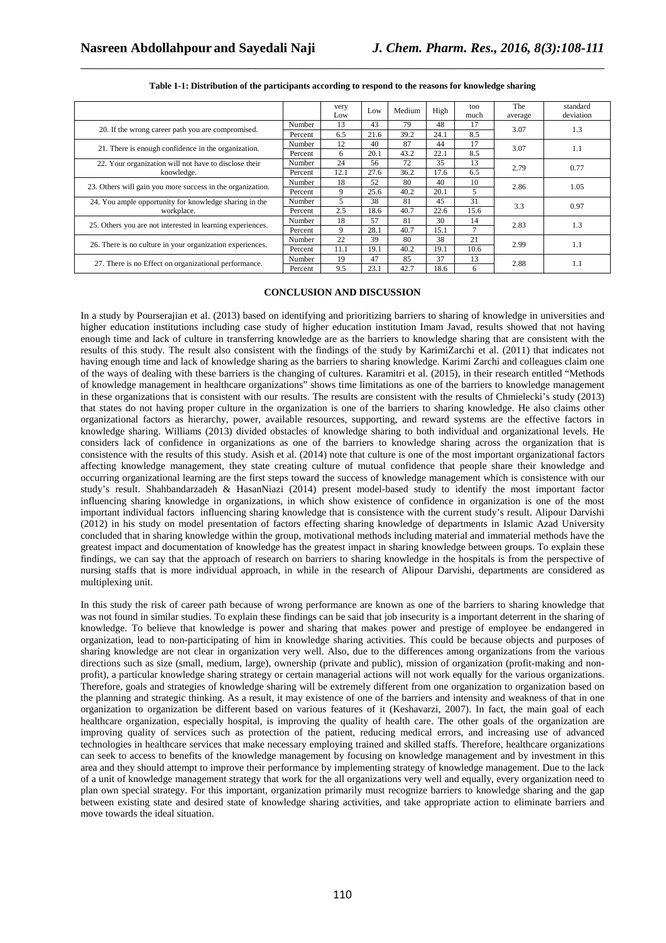|                                                                      |         | very<br>Low | Low  | Medium | High | too<br>much | The<br>average | standard<br>deviation |
|----------------------------------------------------------------------|---------|-------------|------|--------|------|-------------|----------------|-----------------------|
| 20. If the wrong career path you are compromised.                    | Number  | 13          | 43   | 79     | 48   | 17          | 3.07           | 1.3                   |
|                                                                      | Percent | 6.5         | 21.6 | 39.2   | 24.1 | 8.5         |                |                       |
| 21. There is enough confidence in the organization.                  | Number  | 12          | 40   | 87     | 44   | 17          | 3.07           | 1.1                   |
|                                                                      | Percent | 6           | 20.1 | 43.2   | 22.1 | 8.5         |                |                       |
| 22. Your organization will not have to disclose their<br>knowledge.  | Number  | 24          | 56   | 72     | 35   | 13          | 2.79           | 0.77                  |
|                                                                      | Percent | 12.1        | 27.6 | 36.2   | 17.6 | 6.5         |                |                       |
| 23. Others will gain you more success in the organization.           | Number  | 18          | 52   | 80     | 40   | 10          | 2.86           | 1.05                  |
|                                                                      | Percent | 9           | 25.6 | 40.2   | 20.1 | 5.          |                |                       |
| 24. You ample opportunity for knowledge sharing in the<br>workplace. | Number  | 5           | 38   | 81     | 45   | 31          | 3.3            | 0.97                  |
|                                                                      | Percent | 2.5         | 18.6 | 40.7   | 22.6 | 15.6        |                |                       |
| 25. Others you are not interested in learning experiences.           | Number  | 18          | 57   | 81     | 30   | 14          | 2.83           | 1.3                   |
|                                                                      | Percent | 9           | 28.1 | 40.7   | 15.1 |             |                |                       |
| 26. There is no culture in your organization experiences.            | Number  | 22          | 39   | 80     | 38   | 21          | 2.99           | 1.1                   |
|                                                                      | Percent | 11.1        | 19.1 | 40.2   | 19.1 | 10.6        |                |                       |
| 27. There is no Effect on organizational performance.                | Number  | 19          | 47   | 85     | 37   | 13          | 2.88           | 1.1                   |
|                                                                      | Percent | 9.5         | 23.1 | 42.7   | 18.6 | 6           |                |                       |

| Table 1-1: Distribution of the participants according to respond to the reasons for knowledge sharing |  |
|-------------------------------------------------------------------------------------------------------|--|

#### **CONCLUSION AND DISCUSSION**

In a study by Pourserajian et al. (2013) based on identifying and prioritizing barriers to sharing of knowledge in universities and higher education institutions including case study of higher education institution Imam Javad, results showed that not having enough time and lack of culture in transferring knowledge are as the barriers to knowledge sharing that are consistent with the results of this study. The result also consistent with the findings of the study by KarimiZarchi et al. (2011) that indicates not having enough time and lack of knowledge sharing as the barriers to sharing knowledge. Karimi Zarchi and colleagues claim one of the ways of dealing with these barriers is the changing of cultures. Karamitri et al. (2015), in their research entitled "Methods of knowledge management in healthcare organizations" shows time limitations as one of the barriers to knowledge management in these organizations that is consistent with our results. The results are consistent with the results of Chmielecki's study (2013) that states do not having proper culture in the organization is one of the barriers to sharing knowledge. He also claims other organizational factors as hierarchy, power, available resources, supporting, and reward systems are the effective factors in knowledge sharing. Williams (2013) divided obstacles of knowledge sharing to both individual and organizational levels. He considers lack of confidence in organizations as one of the barriers to knowledge sharing across the organization that is consistence with the results of this study. Asish et al. (2014) note that culture is one of the most important organizational factors affecting knowledge management, they state creating culture of mutual confidence that people share their knowledge and occurring organizational learning are the first steps toward the success of knowledge management which is consistence with our study's result. Shahbandarzadeh & HasanNiazi (2014) present model-based study to identify the most important factor influencing sharing knowledge in organizations, in which show existence of confidence in organization is one of the most important individual factors influencing sharing knowledge that is consistence with the current study's result. Alipour Darvishi (2012) in his study on model presentation of factors effecting sharing knowledge of departments in Islamic Azad University concluded that in sharing knowledge within the group, motivational methods including material and immaterial methods have the greatest impact and documentation of knowledge has the greatest impact in sharing knowledge between groups. To explain these findings, we can say that the approach of research on barriers to sharing knowledge in the hospitals is from the perspective of nursing staffs that is more individual approach, in while in the research of Alipour Darvishi, departments are considered as multiplexing unit.

In this study the risk of career path because of wrong performance are known as one of the barriers to sharing knowledge that was not found in similar studies. To explain these findings can be said that job insecurity is a important deterrent in the sharing of knowledge. To believe that knowledge is power and sharing that makes power and prestige of employee be endangered in organization, lead to non-participating of him in knowledge sharing activities. This could be because objects and purposes of sharing knowledge are not clear in organization very well. Also, due to the differences among organizations from the various directions such as size (small, medium, large), ownership (private and public), mission of organization (profit-making and nonprofit), a particular knowledge sharing strategy or certain managerial actions will not work equally for the various organizations. Therefore, goals and strategies of knowledge sharing will be extremely different from one organization to organization based on the planning and strategic thinking. As a result, it may existence of one of the barriers and intensity and weakness of that in one organization to organization be different based on various features of it (Keshavarzi, 2007). In fact, the main goal of each healthcare organization, especially hospital, is improving the quality of health care. The other goals of the organization are improving quality of services such as protection of the patient, reducing medical errors, and increasing use of advanced technologies in healthcare services that make necessary employing trained and skilled staffs. Therefore, healthcare organizations can seek to access to benefits of the knowledge management by focusing on knowledge management and by investment in this area and they should attempt to improve their performance by implementing strategy of knowledge management. Due to the lack of a unit of knowledge management strategy that work for the all organizations very well and equally, every organization need to plan own special strategy. For this important, organization primarily must recognize barriers to knowledge sharing and the gap between existing state and desired state of knowledge sharing activities, and take appropriate action to eliminate barriers and move towards the ideal situation.